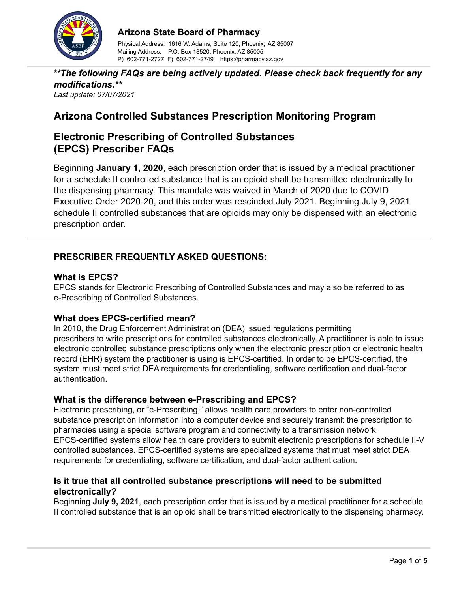

## **Arizona State Board of Pharmacy**

Physical Address: 1616 W. Adams, Suite 120, Phoenix, AZ 85007 Mailing Address: P.O. Box 18520, Phoenix, AZ 85005 P) 602-771-2727 F) 602-771-2749 https://pharmacy.az.gov

*\*\*The following FAQs are being actively updated. Please check back frequently for any modifications.\*\* Last update: 07/07/2021*

# **Arizona Controlled Substances Prescription Monitoring Program**

# **Electronic Prescribing of Controlled Substances (EPCS) Prescriber FAQs**

Beginning **January 1, 2020**, each prescription order that is issued by a medical practitioner for a schedule II controlled substance that is an opioid shall be transmitted electronically to the dispensing pharmacy. This mandate was waived in March of 2020 due to COVID Executive Order 2020-20, and this order was rescinded July 2021. Beginning July 9, 2021 schedule II controlled substances that are opioids may only be dispensed with an electronic prescription order.

# **PRESCRIBER FREQUENTLY ASKED QUESTIONS:**

# **What is EPCS?**

EPCS stands for Electronic Prescribing of Controlled Substances and may also be referred to as e-Prescribing of Controlled Substances.

## **What does EPCS-certified mean?**

In 2010, the Drug Enforcement Administration (DEA) issued regulations permitting prescribers to write prescriptions for controlled substances electronically. A practitioner is able to issue electronic controlled substance prescriptions only when the electronic prescription or electronic health record (EHR) system the practitioner is using is EPCS-certified. In order to be EPCS-certified, the system must meet strict DEA requirements for credentialing, software certification and dual-factor authentication.

## **What is the difference between e-Prescribing and EPCS?**

Electronic prescribing, or "e-Prescribing," allows health care providers to enter non-controlled substance prescription information into a computer device and securely transmit the prescription to pharmacies using a special software program and connectivity to a transmission network. EPCS-certified systems allow health care providers to submit electronic prescriptions for schedule II-V controlled substances. EPCS-certified systems are specialized systems that must meet strict DEA requirements for credentialing, software certification, and dual-factor authentication.

## **Is it true that all controlled substance prescriptions will need to be submitted electronically?**

Beginning **July 9, 2021**, each prescription order that is issued by a medical practitioner for a schedule II controlled substance that is an opioid shall be transmitted electronically to the dispensing pharmacy.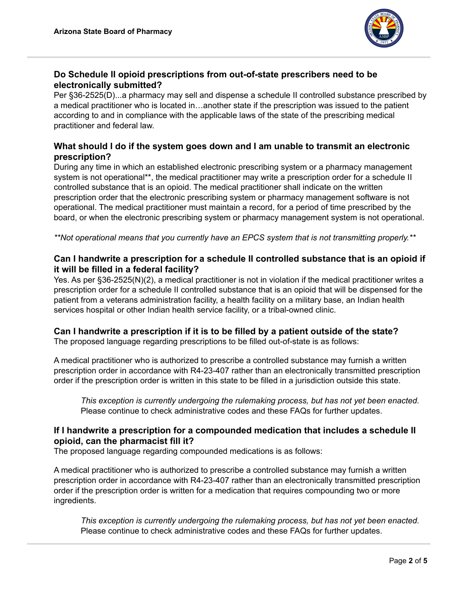

## **Do Schedule II opioid prescriptions from out-of-state prescribers need to be electronically submitted?**

Per §36-2525(D)...a pharmacy may sell and dispense a schedule II controlled substance prescribed by a medical practitioner who is located in…another state if the prescription was issued to the patient according to and in compliance with the applicable laws of the state of the prescribing medical practitioner and federal law.

# **What should I do if the system goes down and I am unable to transmit an electronic prescription?**

During any time in which an established electronic prescribing system or a pharmacy management system is not operational\*\*, the medical practitioner may write a prescription order for a schedule II controlled substance that is an opioid. The medical practitioner shall indicate on the written prescription order that the electronic prescribing system or pharmacy management software is not operational. The medical practitioner must maintain a record, for a period of time prescribed by the board, or when the electronic prescribing system or pharmacy management system is not operational.

*\*\*Not operational means that you currently have an EPCS system that is not transmitting properly.\*\**

## **Can I handwrite a prescription for a schedule II controlled substance that is an opioid if it will be filled in a federal facility?**

Yes. As per §36-2525(N)(2), a medical practitioner is not in violation if the medical practitioner writes a prescription order for a schedule II controlled substance that is an opioid that will be dispensed for the patient from a veterans administration facility, a health facility on a military base, an Indian health services hospital or other Indian health service facility, or a tribal-owned clinic.

## **Can I handwrite a prescription if it is to be filled by a patient outside of the state?**

The proposed language regarding prescriptions to be filled out-of-state is as follows:

A medical practitioner who is authorized to prescribe a controlled substance may furnish a written prescription order in accordance with R4-23-407 rather than an electronically transmitted prescription order if the prescription order is written in this state to be filled in a jurisdiction outside this state.

*This exception is currently undergoing the rulemaking process, but has not yet been enacted.* Please continue to check administrative codes and these FAQs for further updates.

## **If I handwrite a prescription for a compounded medication that includes a schedule II opioid, can the pharmacist fill it?**

The proposed language regarding compounded medications is as follows:

A medical practitioner who is authorized to prescribe a controlled substance may furnish a written prescription order in accordance with R4-23-407 rather than an electronically transmitted prescription order if the prescription order is written for a medication that requires compounding two or more ingredients.

*This exception is currently undergoing the rulemaking process, but has not yet been enacted.* Please continue to check administrative codes and these FAQs for further updates.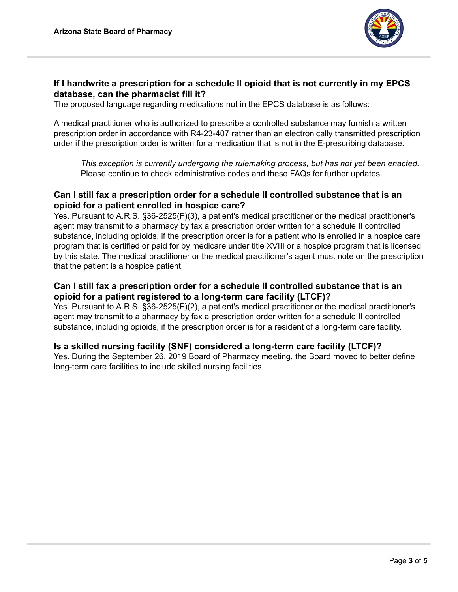

# **If I handwrite a prescription for a schedule II opioid that is not currently in my EPCS database, can the pharmacist fill it?**

The proposed language regarding medications not in the EPCS database is as follows:

A medical practitioner who is authorized to prescribe a controlled substance may furnish a written prescription order in accordance with R4-23-407 rather than an electronically transmitted prescription order if the prescription order is written for a medication that is not in the E-prescribing database.

*This exception is currently undergoing the rulemaking process, but has not yet been enacted.* Please continue to check administrative codes and these FAQs for further updates.

## **Can I still fax a prescription order for a schedule II controlled substance that is an opioid for a patient enrolled in hospice care?**

Yes. Pursuant to A.R.S. §36-2525(F)(3), a patient's medical practitioner or the medical practitioner's agent may transmit to a pharmacy by fax a prescription order written for a schedule II controlled substance, including opioids, if the prescription order is for a patient who is enrolled in a hospice care program that is certified or paid for by medicare under title XVIII or a hospice program that is licensed by this state. The medical practitioner or the medical practitioner's agent must note on the prescription that the patient is a hospice patient.

# **Can I still fax a prescription order for a schedule II controlled substance that is an opioid for a patient registered to a long-term care facility (LTCF)?**

Yes. Pursuant to A.R.S. §36-2525(F)(2), a patient's medical practitioner or the medical practitioner's agent may transmit to a pharmacy by fax a prescription order written for a schedule II controlled substance, including opioids, if the prescription order is for a resident of a long-term care facility.

## **Is a skilled nursing facility (SNF) considered a long-term care facility (LTCF)?**

Yes. During the September 26, 2019 Board of Pharmacy meeting, the Board moved to better define long-term care facilities to include skilled nursing facilities.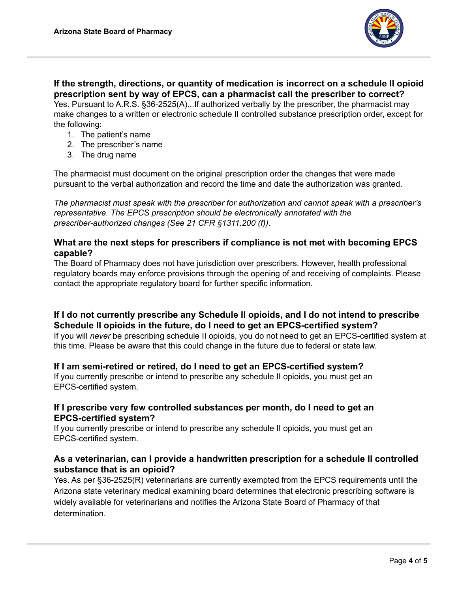

**If the strength, directions, or quantity of medication is incorrect on a schedule II opioid prescription sent by way of EPCS, can a pharmacist call the prescriber to correct?** Yes. Pursuant to A.R.S. §36-2525(A)...If authorized verbally by the prescriber, the pharmacist may make changes to a written or electronic schedule II controlled substance prescription order, except for the following:

- 1. The patient's name
- 2. The prescriber's name
- 3. The drug name

The pharmacist must document on the original prescription order the changes that were made pursuant to the verbal authorization and record the time and date the authorization was granted.

*The pharmacist must speak with the prescriber for authorization and cannot speak with a prescriber's representative. The EPCS prescription should be electronically annotated with the prescriber-authorized changes (See 21 CFR §1311.200 (f))*.

# **What are the next steps for prescribers if compliance is not met with becoming EPCS capable?**

The Board of Pharmacy does not have jurisdiction over prescribers. However, health professional regulatory boards may enforce provisions through the opening of and receiving of complaints. Please contact the appropriate regulatory board for further specific information.

# **If I do not currently prescribe any Schedule II opioids, and I do not intend to prescribe Schedule II opioids in the future, do I need to get an EPCS-certified system?**

If you will *never* be prescribing schedule II opioids, you do not need to get an EPCS-certified system at this time. Please be aware that this could change in the future due to federal or state law.

## **If I am semi-retired or retired, do I need to get an EPCS-certified system?**

If you currently prescribe or intend to prescribe any schedule II opioids, you must get an EPCS-certified system.

## **If I prescribe very few controlled substances per month, do I need to get an EPCS-certified system?**

If you currently prescribe or intend to prescribe any schedule II opioids, you must get an EPCS-certified system.

## **As a veterinarian, can I provide a handwritten prescription for a schedule II controlled substance that is an opioid?**

Yes. As per §36-2525(R) veterinarians are currently exempted from the EPCS requirements until the Arizona state veterinary medical examining board determines that electronic prescribing software is widely available for veterinarians and notifies the Arizona State Board of Pharmacy of that determination.